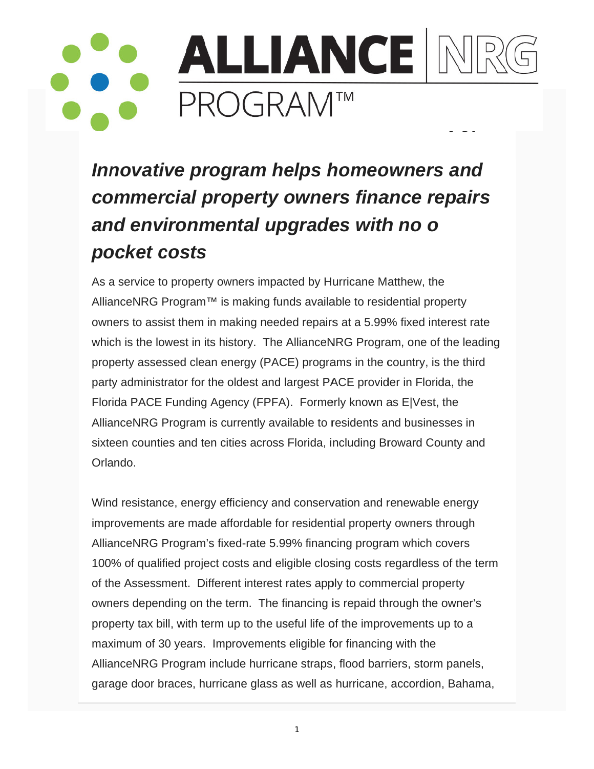## **ALLIANCE M PROGRAM™**

Innovative program helps homeowners and commercial property owners finance repairs and environmental upgrades with no o pocket costs

As a service to property owners impacted by Hurricane Matthew, the AllianceNRG Program<sup>™</sup> is making funds available to residential property owners to assist them in making needed repairs at a 5.99% fixed interest rate which is the lowest in its history. The AllianceNRG Program, one of the leading property assessed clean energy (PACE) programs in the country, is the third party administrator for the oldest and largest PACE provider in Florida, the Florida PACE Funding Agency (FPFA). Formerly known as ElVest, the AllianceNRG Program is currently available to residents and businesses in sixteen counties and ten cities across Florida, including Broward County and Orlando.

Wind resistance, energy efficiency and conservation and renewable energy improvements are made affordable for residential property owners through AllianceNRG Program's fixed-rate 5.99% financing program which covers 100% of qualified project costs and eligible closing costs regardless of the term of the Assessment. Different interest rates apply to commercial property owners depending on the term. The financing is repaid through the owner's property tax bill, with term up to the useful life of the improvements up to a maximum of 30 years. Improvements eligible for financing with the AllianceNRG Program include hurricane straps, flood barriers, storm panels, garage door braces, hurricane glass as well as hurricane, accordion, Bahama,

 $\mathbf{1}$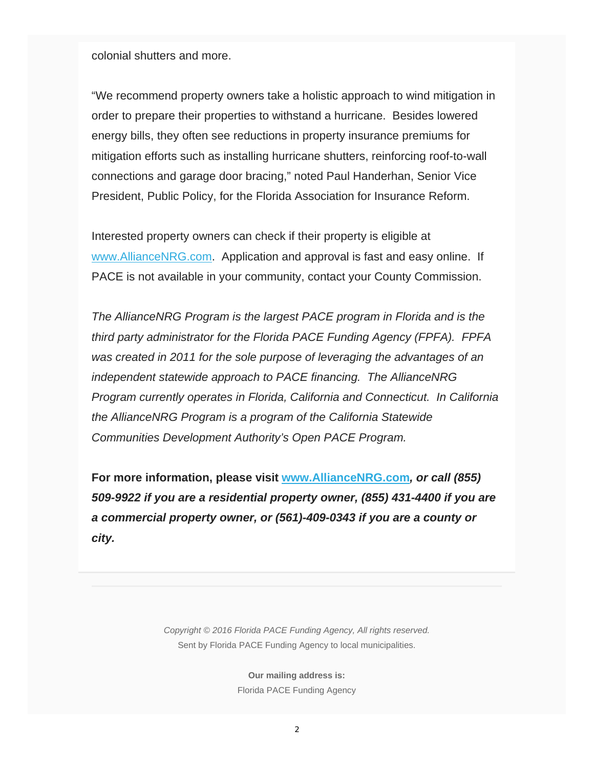colonial shutters and more.

"We recommend property owners take a holistic approach to wind mitigation in order to prepare their properties to withstand a hurricane. Besides lowered energy bills, they often see reductions in property insurance premiums for mitigation efforts such as installing hurricane shutters, reinforcing roof-to-wall connections and garage door bracing," noted Paul Handerhan, Senior Vice President, Public Policy, for the Florida Association for Insurance Reform.

Interested property owners can check if their property is eligible at www.AllianceNRG.com. Application and approval is fast and easy online. If PACE is not available in your community, contact your County Commission.

*The AllianceNRG Program is the largest PACE program in Florida and is the third party administrator for the Florida PACE Funding Agency (FPFA). FPFA was created in 2011 for the sole purpose of leveraging the advantages of an independent statewide approach to PACE financing. The AllianceNRG Program currently operates in Florida, California and Connecticut. In California the AllianceNRG Program is a program of the California Statewide Communities Development Authority's Open PACE Program.*

**For more information, please visit www.AllianceNRG.com***, or call (855) 509-9922 if you are a residential property owner, (855) 431-4400 if you are a commercial property owner, or (561)-409-0343 if you are a county or city.*

> *Copyright © 2016 Florida PACE Funding Agency, All rights reserved.* Sent by Florida PACE Funding Agency to local municipalities.

> > **Our mailing address is:** Florida PACE Funding Agency